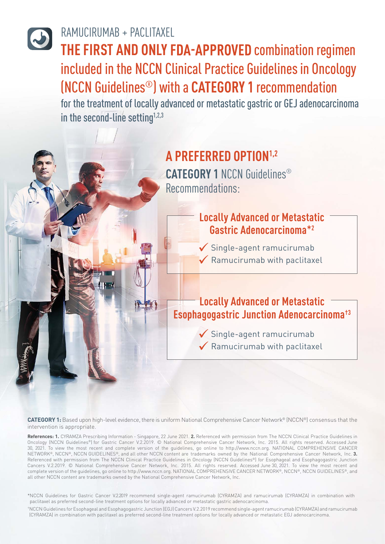## RAMUCIRUMAB + PACLITAXEL RAMUCIRUMAB + PACLITAXEL

**THE FIRST AND ONLY FDA-APPROVED combination regimen** included in the NCCN Clinical Practice Guidelines in Oncology (NCCN Guidelines®) with a **CATEGORY 1** recommendation (NCCN Guidelines®) with a **CATEGORY 1** recommendation

for the treatment of locally advanced or metastatic gastric or GEJ adenocarcinoma in the second-line setting $1,2,3$ 

# **A PREFERRED OPTION1,2 CATEGORY 1** NCCN Guidelines® Recommendations:

### **Locally Advanced or Metastatic Gastric Adenocarcinoma**\***<sup>2</sup>**

 $\checkmark$  Single-agent ramucirumab  $\checkmark$  Ramucirumab with paclitaxel

#### **Locally Advanced or Metastatic Esophagogastric Junction Adenocarcinoma†3**

 Single-agent ramucirumab  $\checkmark$  Ramucirumab with paclitaxel

**CATEGORY 1:** Based upon high-level evidence, there is uniform National Comprehensive Cancer Network® (NCCN®) consensus that the intervention is appropriate.

**References: 1.** CYRAMZA Prescribing Information - Singapore, 22 June 2021. **2.** Referenced with permission from The NCCN Clinical Practice Guidelines in Oncology (NCCN Guidelines®) for Gastric Cancer V.2.2019. © National Comprehensive Cancer Network, Inc. 2015. All rights reserved. Accessed June 30, 2021. To view the most recent and complete version of the guidelines, go online to http://www.nccn.org. NATIONAL COMPREHENSIVE CANCER NETWORK®, NCCN®, NCCN GUIDELINES®, and all other NCCN content are trademarks owned by the National Comprehensive Cancer Network, Inc. **3.** Referenced with permission from The NCCN Clinical Practice Guidelines in Oncology (NCCN Guidelines®) for Esophageal and Esophagogastric Junction Cancers V.2.2019. © National Comprehensive Cancer Network, Inc. 2015. All rights reserved. Accessed June 30, 2021. To view the most recent and complete version of the guidelines, go online to http://www.nccn.org. NATIONAL COMPREHENSIVE CANCER NETWORK®, NCCN®, NCCN GUIDELINES®, and all other NCCN content are trademarks owned by the National Comprehensive Cancer Network, Inc.

\*NCCN Guidelines for Gastric Cancer V.2.2019 recommend single-agent ramucirumab (CYRAMZA) and ramucirumab (CYRAMZA) in combination with paclitaxel as preferred second-line treatment options for locally advanced or metastatic gastric adenocarcinoma.

†NCCN Guidelines for Esophageal and Esophagogastric Junction (EGJ)Cancers V.2.2019 recommend single-agent ramucirumab (CYRAMZA) and ramucirumab (CYRAMZA) in combination with paclitaxel as preferred second-line treatment options for locally advanced or metastatic EGJ adenocarcinoma.